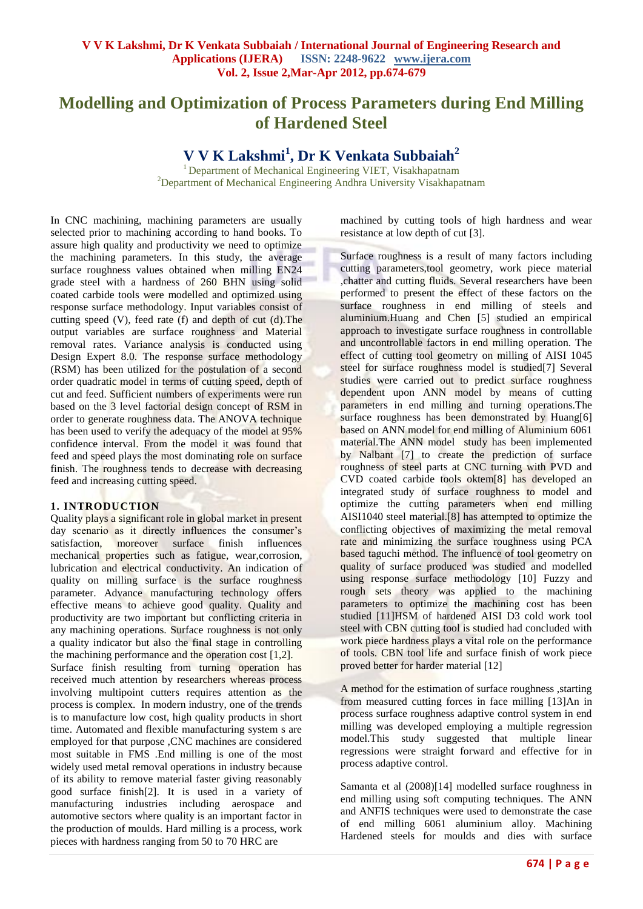# **Modelling and Optimization of Process Parameters during End Milling of Hardened Steel**

## **V V K Lakshmi<sup>1</sup> , Dr K Venkata Subbaiah<sup>2</sup>**

<sup>1</sup> Department of Mechanical Engineering VIET, Visakhapatnam  $2D$ epartment of Mechanical Engineering Andhra University Visakhapatnam

In CNC machining, machining parameters are usually selected prior to machining according to hand books. To assure high quality and productivity we need to optimize the machining parameters. In this study, the average surface roughness values obtained when milling EN24 grade steel with a hardness of 260 BHN using solid coated carbide tools were modelled and optimized using response surface methodology. Input variables consist of cutting speed (V), feed rate (f) and depth of cut (d).The output variables are surface roughness and Material removal rates. Variance analysis is conducted using Design Expert 8.0. The response surface methodology (RSM) has been utilized for the postulation of a second order quadratic model in terms of cutting speed, depth of cut and feed. Sufficient numbers of experiments were run based on the 3 level factorial design concept of RSM in order to generate roughness data. The ANOVA technique has been used to verify the adequacy of the model at 95% confidence interval. From the model it was found that feed and speed plays the most dominating role on surface finish. The roughness tends to decrease with decreasing feed and increasing cutting speed.

#### **1. INTRODUCTION**

Quality plays a significant role in global market in present day scenario as it directly influences the consumer's satisfaction, moreover surface finish influences mechanical properties such as fatigue, wear,corrosion, lubrication and electrical conductivity. An indication of quality on milling surface is the surface roughness parameter. Advance manufacturing technology offers effective means to achieve good quality. Quality and productivity are two important but conflicting criteria in any machining operations. Surface roughness is not only a quality indicator but also the final stage in controlling the machining performance and the operation cost [1,2]. Surface finish resulting from turning operation has received much attention by researchers whereas process involving multipoint cutters requires attention as the process is complex. In modern industry, one of the trends is to manufacture low cost, high quality products in short time. Automated and flexible manufacturing system s are employed for that purpose ,CNC machines are considered most suitable in FMS .End milling is one of the most widely used metal removal operations in industry because of its ability to remove material faster giving reasonably good surface finish[2]. It is used in a variety of manufacturing industries including aerospace and automotive sectors where quality is an important factor in the production of moulds. Hard milling is a process, work pieces with hardness ranging from 50 to 70 HRC are

machined by cutting tools of high hardness and wear resistance at low depth of cut [3].

Surface roughness is a result of many factors including cutting parameters,tool geometry, work piece material ,chatter and cutting fluids. Several researchers have been performed to present the effect of these factors on the surface roughness in end milling of steels and aluminium.Huang and Chen [5] studied an empirical approach to investigate surface roughness in controllable and uncontrollable factors in end milling operation. The effect of cutting tool geometry on milling of AISI 1045 steel for surface roughness model is studied[7] Several studies were carried out to predict surface roughness dependent upon ANN model by means of cutting parameters in end milling and turning operations.The surface roughness has been demonstrated by Huang[6] based on ANN model for end milling of Aluminium 6061 material.The ANN model study has been implemented by Nalbant [7] to create the prediction of surface roughness of steel parts at CNC turning with PVD and CVD coated carbide tools oktem[8] has developed an integrated study of surface roughness to model and optimize the cutting parameters when end milling AISI1040 steel material.[8] has attempted to optimize the conflicting objectives of maximizing the metal removal rate and minimizing the surface roughness using PCA based taguchi method. The influence of tool geometry on quality of surface produced was studied and modelled using response surface methodology [10] Fuzzy and rough sets theory was applied to the machining parameters to optimize the machining cost has been studied [11]HSM of hardened AISI D3 cold work tool steel with CBN cutting tool is studied had concluded with work piece hardness plays a vital role on the performance of tools. CBN tool life and surface finish of work piece proved better for harder material [12]

A method for the estimation of surface roughness ,starting from measured cutting forces in face milling [13]An in process surface roughness adaptive control system in end milling was developed employing a multiple regression model.This study suggested that multiple linear regressions were straight forward and effective for in process adaptive control.

Samanta et al (2008)[14] modelled surface roughness in end milling using soft computing techniques. The ANN and ANFIS techniques were used to demonstrate the case of end milling 6061 aluminium alloy. Machining Hardened steels for moulds and dies with surface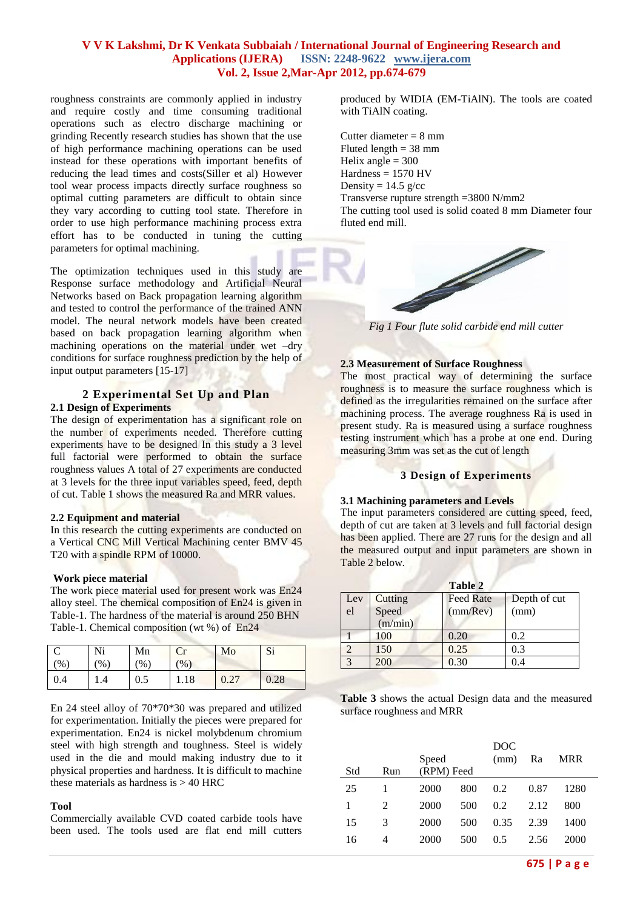roughness constraints are commonly applied in industry and require costly and time consuming traditional operations such as electro discharge machining or grinding Recently research studies has shown that the use of high performance machining operations can be used instead for these operations with important benefits of reducing the lead times and costs(Siller et al) However tool wear process impacts directly surface roughness so optimal cutting parameters are difficult to obtain since they vary according to cutting tool state. Therefore in order to use high performance machining process extra effort has to be conducted in tuning the cutting parameters for optimal machining.

The optimization techniques used in this study are Response surface methodology and Artificial Neural Networks based on Back propagation learning algorithm and tested to control the performance of the trained ANN model. The neural network models have been created based on back propagation learning algorithm when machining operations on the material under wet –dry conditions for surface roughness prediction by the help of input output parameters [15-17]

## **2 Experimental Set Up and Plan 2.1 Design of Experiments**

The design of experimentation has a significant role on the number of experiments needed. Therefore cutting experiments have to be designed In this study a 3 level full factorial were performed to obtain the surface roughness values A total of 27 experiments are conducted at 3 levels for the three input variables speed, feed, depth of cut. Table 1 shows the measured Ra and MRR values.

#### **2.2 Equipment and material**

In this research the cutting experiments are conducted on a Vertical CNC Mill Vertical Machining center BMV 45 T20 with a spindle RPM of 10000.

#### **Work piece material**

The work piece material used for present work was En24 alloy steel. The chemical composition of En24 is given in Table-1. The hardness of the material is around 250 BHN Table-1. Chemical composition (wt %) of En24

| $\frac{9}{6}$ | Ni<br>$\%$ | Mn<br>$\frac{1}{2}$ | Cr<br>(0/0) | Mo   | Si   |
|---------------|------------|---------------------|-------------|------|------|
| 0.4           | .4         | $\rm 0.5$           | 1.18        | 0.27 | 0.28 |

En 24 steel alloy of 70\*70\*30 was prepared and utilized for experimentation. Initially the pieces were prepared for experimentation. En24 is nickel molybdenum chromium steel with high strength and toughness. Steel is widely used in the die and mould making industry due to it physical properties and hardness. It is difficult to machine these materials as hardness is  $> 40$  HRC

#### **Tool**

Commercially available CVD coated carbide tools have been used. The tools used are flat end mill cutters produced by WIDIA (EM-TiAlN). The tools are coated with TiAlN coating.

Cutter diameter = 8 mm Fluted length  $= 38$  mm Helix angle  $= 300$  $Hardness = 1570$  HV Density =  $14.5$  g/cc Transverse rupture strength =3800 N/mm2 The cutting tool used is solid coated 8 mm Diameter four fluted end mill.



*Fig 1 Four flute solid carbide end mill cutter*

## **2.3 Measurement of Surface Roughness**

The most practical way of determining the surface roughness is to measure the surface roughness which is defined as the irregularities remained on the surface after machining process. The average roughness Ra is used in present study. Ra is measured using a surface roughness testing instrument which has a probe at one end. During measuring 3mm was set as the cut of length

#### **3 Design of Experiments**

#### **3.1 Machining parameters and Levels**

The input parameters considered are cutting speed, feed, depth of cut are taken at 3 levels and full factorial design has been applied. There are 27 runs for the design and all the measured output and input parameters are shown in Table 2 below.

|              |         | Table 2          |              |
|--------------|---------|------------------|--------------|
| Lev          | Cutting | <b>Feed Rate</b> | Depth of cut |
| el           | Speed   | (mm/Rev)         | (mm)         |
|              | (m/min) |                  |              |
|              | 100     | 0.20             | 0.2          |
| C            | 150     | 0.25             | 0.3          |
| $\mathbf{R}$ | 200     | 0.30             | 0.4          |

**Table 3** shows the actual Design data and the measured surface roughness and MRR

| Std | Run | Speed<br>(RPM) Feed |     | DOC<br>(mm) | Ra   | MRR  |
|-----|-----|---------------------|-----|-------------|------|------|
| 25  |     | 2000                | 800 | 0.2         | 0.87 | 1280 |
| 1   | 2   | 2000                | 500 | 0.2         | 2.12 | 800  |
| 15  | 3   | 2000                | 500 | 0.35        | 2.39 | 1400 |
| 16  | 4   | 2000                | 500 | 0.5         | 2.56 | 2000 |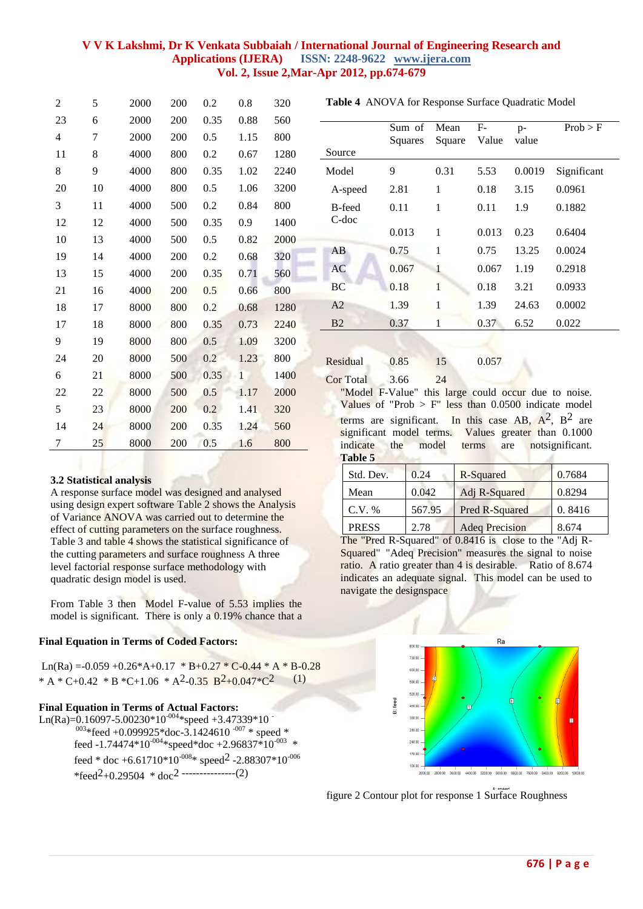| 2                        | 5  | 2000 | 200 | 0.2  | 0.8            | 320  |
|--------------------------|----|------|-----|------|----------------|------|
| 23                       | 6  | 2000 | 200 | 0.35 | 0.88           | 560  |
| $\overline{\mathcal{L}}$ | 7  | 2000 | 200 | 0.5  | 1.15           | 800  |
| 11                       | 8  | 4000 | 800 | 0.2  | 0.67           | 1280 |
| 8                        | 9  | 4000 | 800 | 0.35 | 1.02           | 2240 |
| 20                       | 10 | 4000 | 800 | 0.5  | 1.06           | 3200 |
| 3                        | 11 | 4000 | 500 | 0.2  | 0.84           | 800  |
| 12                       | 12 | 4000 | 500 | 0.35 | 0.9            | 1400 |
| 10                       | 13 | 4000 | 500 | 0.5  | 0.82           | 2000 |
| 19                       | 14 | 4000 | 200 | 0.2  | 0.68           | 320  |
| 13                       | 15 | 4000 | 200 | 0.35 | 0.71           | 560  |
| 21                       | 16 | 4000 | 200 | 0.5  | 0.66           | 800  |
| 18                       | 17 | 8000 | 800 | 0.2  | 0.68           | 1280 |
| 17                       | 18 | 8000 | 800 | 0.35 | 0.73           | 2240 |
| 9                        | 19 | 8000 | 800 | 0.5  | 1.09           | 3200 |
| 24                       | 20 | 8000 | 500 | 0.2  | 1.23           | 800  |
| 6                        | 21 | 8000 | 500 | 0.35 | $\overline{1}$ | 1400 |
| 22                       | 22 | 8000 | 500 | 0.5  | 1.17           | 2000 |
| 5                        | 23 | 8000 | 200 | 0.2  | 1.41           | 320  |
| 14                       | 24 | 8000 | 200 | 0.35 | 1.24           | 560  |
| 7                        | 25 | 8000 | 200 | 0.5  | 1.6            | 800  |

#### **Table 4** ANOVA for Response Surface Quadratic Model

|       |   | 5.53  | 0.0019 | Significant |
|-------|---|-------|--------|-------------|
| 2.81  | 1 | 0.18  | 3.15   | 0.0961      |
| 0.11  | 1 | 0.11  | 1.9    | 0.1882      |
| 0.013 | 1 | 0.013 | 0.23   | 0.6404      |
| 0.75  | 1 | 0.75  | 13.25  | 0.0024      |
| 0.067 | 1 | 0.067 | 1.19   | 0.2918      |
| 0.18  | 1 | 0.18  | 3.21   | 0.0933      |
| 1.39  | 1 | 1.39  | 24.63  | 0.0002      |
| 0.37  | 1 | 0.37  | 6.52   | 0.022       |
|       |   | 0.31  |        |             |

Residual 0.85 15 0.057

Cor Total 3.66 24

"Model F-Value" this large could occur due to noise. Values of "Prob  $>$  F" less than 0.0500 indicate model terms are significant. In this case  $AB$ ,  $A^2$ ,  $B^2$  are significant model terms. Values greater than 0.1000 indicate the model terms are notsignificant. **Table 5**

| 3.2 Statistical analysis |  |
|--------------------------|--|
|--------------------------|--|

A response surface model was designed and analysed using design expert software Table 2 shows the Analysis of Variance ANOVA was carried out to determine the effect of cutting parameters on the surface roughness. Table 3 and table 4 shows the statistical significance of the cutting parameters and surface roughness A three level factorial response surface methodology with quadratic design model is used.

From Table 3 then Model F-value of 5.53 implies the model is significant. There is only a 0.19% chance that a

#### **Final Equation in Terms of Coded Factors:**

Ln(Ra) = -0.059 +0.26\*A+0.17 \* B+0.27 \* C-0.44 \* A \* B-0.28 \* A \* C+0.42 \* B \* C+1.06 \* A<sup>2</sup>-0.35 B<sup>2</sup>+0.047 \* C<sup>2</sup> (1)

#### **Final Equation in Terms of Actual Factors:**

Ln(Ra)=0.16097-5.00230\*10<sup>-004</sup>\*speed +3.47339\*10  $^{003}$ \*feed +0.099925\*doc-3.1424610<sup>-007</sup> \* speed \* feed -1.74474\*10<sup>-004</sup>\*speed\*doc +2.96837\*10<sup>-003</sup> \* feed \* doc +6.61710\*10<sup>-008</sup>\* speed<sup>2</sup> -2.88307\*10<sup>-006</sup> \*feed<sup>2</sup>+0.29504 \* doc<sup>2</sup> ----------------(2)

| Std. Dev.    | 0.24   | R-Squared             | 0.7684 |
|--------------|--------|-----------------------|--------|
| Mean         | 0.042  | Adj R-Squared         | 0.8294 |
| $C.V. \%$    | 567.95 | Pred R-Squared        | 0.8416 |
| <b>PRESS</b> | 2.78   | <b>Adeq Precision</b> | 8.674  |

The "Pred R-Squared" of 0.8416 is close to the "Adj R-Squared" "Adeq Precision" measures the signal to noise ratio. A ratio greater than 4 is desirable. Ratio of 8.674 indicates an adequate signal. This model can be used to navigate the designspace



figure 2 Contour plot for response 1 Surface Roughness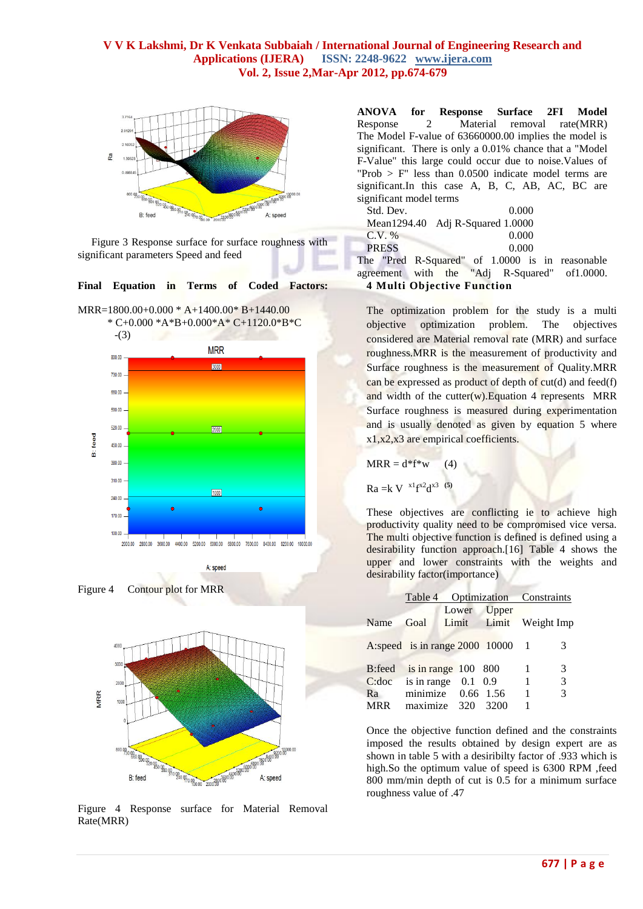

 Figure 3 Response surface for surface roughness with significant parameters Speed and feed

**Final Equation in Terms of Coded Factors:**

MRR=1800.00+0.000 \* A+1400.00\* B+1440.00 \* C+0.000 \*A\*B+0.000\*A\* C+1120.0\*B\*C









Figure 4 Response surface for Material Removal Rate(MRR)

**ANOVA for Response Surface 2FI Model** Response 2 Material removal rate(MRR) The Model F-value of 63660000.00 implies the model is significant. There is only a 0.01% chance that a "Model F-Value" this large could occur due to noise.Values of "Prob  $>$  F" less than 0.0500 indicate model terms are significant.In this case A, B, C, AB, AC, BC are significant model terms

| Std. Dev.    | 0.000                                          |  |  |
|--------------|------------------------------------------------|--|--|
|              | Mean1294.40 Adj R-Squared 1.0000               |  |  |
| $C.V. \%$    | $0.000\,$                                      |  |  |
| <b>PRESS</b> | 0.000                                          |  |  |
|              | he "Dred D Squared" of 1,0000 is in reasonable |  |  |

The "Pred R-Squared" of 1.0000 is in reasonable agreement with the "Adj R-Squared" of 1.0000. agreement with the "Adj R-Squared" of1.0000. **4 Multi Objective Function**

The optimization problem for the study is a multi objective optimization problem. The objectives considered are Material removal rate (MRR) and surface roughness.MRR is the measurement of productivity and Surface roughness is the measurement of Quality.MRR can be expressed as product of depth of  $cut(d)$  and feed(f) and width of the cutter $(w)$ . Equation 4 represents MRR Surface roughness is measured during experimentation and is usually denoted as given by equation 5 where x1,x2,x3 are empirical coefficients.

$$
MRR = d* f* w \qquad (4)
$$

 $Ra = k V^{x1}f^{x2}d^{x3}$ <sup>(5)</sup>

These objectives are conflicting ie to achieve high productivity quality need to be compromised vice versa. The multi objective function is defined is defined using a desirability function approach.[16] Table 4 shows the upper and lower constraints with the weights and desirability factor(importance)

|        |                                    | Table 4 Optimization Constraints |                                 |   |   |
|--------|------------------------------------|----------------------------------|---------------------------------|---|---|
| Name   | Goal                               | Lower                            | Upper<br>Limit Limit Weight Imp |   |   |
|        | A:speed is in range $2000$ 10000 1 |                                  |                                 |   | 3 |
| B:feed | is in range $100$ 800              |                                  |                                 | 1 | 3 |
| C:doc  | is in range $0.1$ 0.9              |                                  |                                 | 1 | 3 |
| Ra     | minimize $0.66$ 1.56               |                                  |                                 | 1 | 3 |
| MRR    | maximize 320                       |                                  | 3200                            | 1 |   |

Once the objective function defined and the constraints imposed the results obtained by design expert are as shown in table 5 with a desiribilty factor of .933 which is high.So the optimum value of speed is 6300 RPM ,feed 800 mm/min depth of cut is 0.5 for a minimum surface roughness value of .47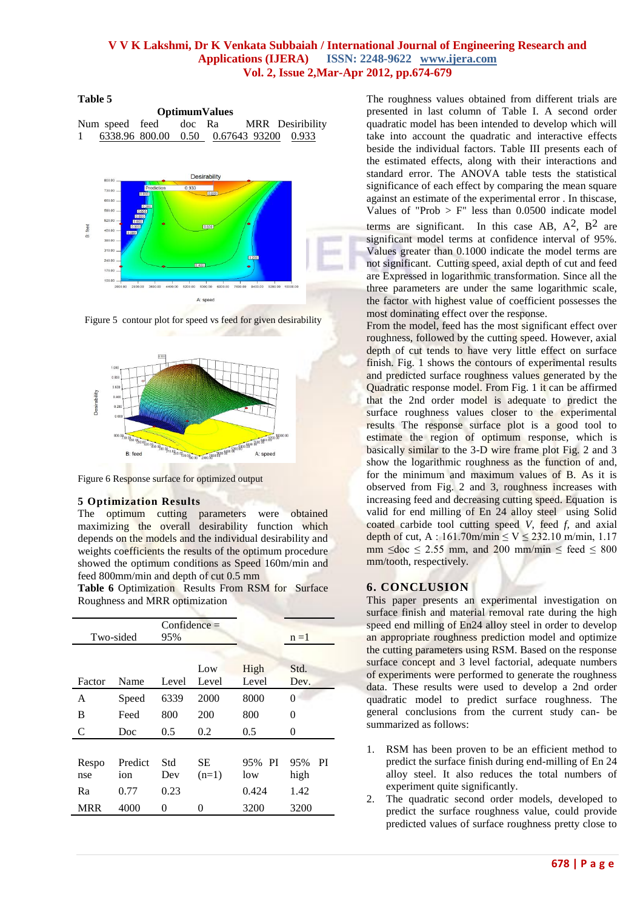#### **Table 5**

| <b>OptimumValues</b> |  |  |  |  |                                         |                                        |
|----------------------|--|--|--|--|-----------------------------------------|----------------------------------------|
|                      |  |  |  |  |                                         | Num speed feed doc Ra MRR Desiribility |
| $\mathbf{1}$         |  |  |  |  | 6338.96 800.00 0.50 0.67643 93200 0.933 |                                        |



Figure 5 contour plot for speed vs feed for given desirability



Figure 6 Response surface for optimized output

## **5 Optimization Results**

The optimum cutting parameters were obtained maximizing the overall desirability function which depends on the models and the individual desirability and weights coefficients the results of the optimum procedure showed the optimum conditions as Speed 160m/min and feed 800mm/min and depth of cut 0.5 mm

Table 6 Optimization Results From RSM for Surface Roughness and MRR optimization

| Two-sided  |         | $Confidence =$<br>95% |              |               | $n = 1$          |
|------------|---------|-----------------------|--------------|---------------|------------------|
| Factor     | Name    | Level                 | Low<br>Level | High<br>Level | Std.<br>Dev.     |
| A          | Speed   | 6339                  | 2000         | 8000          | 0                |
| B          | Feed    | 800                   | 200          | 800           | 0                |
| C          | Doc     | 0.5                   | 0.2          | 0.5           | 0                |
| Respo      | Predict | Std                   | SЕ           | 95% PI        | <b>PI</b><br>95% |
| nse        | ion     | Dev                   | $(n=1)$      | low           | high             |
| Ra         | 0.77    | 0.23                  |              | 0.424         | 1.42             |
| <b>MRR</b> | 4000    | 0                     | $^{(1)}$     | 3200          | 3200             |
|            |         |                       |              |               |                  |

The roughness values obtained from different trials are presented in last column of Table I. A second order quadratic model has been intended to develop which will take into account the quadratic and interactive effects beside the individual factors. Table III presents each of the estimated effects, along with their interactions and standard error. The ANOVA table tests the statistical significance of each effect by comparing the mean square against an estimate of the experimental error . In thiscase, Values of "Prob  $>$  F" less than 0.0500 indicate model terms are significant. In this case AB,  $A^2$ ,  $B^2$  are significant model terms at confidence interval of 95%. Values greater than 0.1000 indicate the model terms are not significant. Cutting speed, axial depth of cut and feed are Expressed in logarithmic transformation. Since all the three parameters are under the same logarithmic scale, the factor with highest value of coefficient possesses the most dominating effect over the response.

From the model, feed has the most significant effect over roughness, followed by the cutting speed. However, axial depth of cut tends to have very little effect on surface finish. Fig. 1 shows the contours of experimental results and predicted surface roughness values generated by the Quadratic response model. From Fig. 1 it can be affirmed that the 2nd order model is adequate to predict the surface roughness values closer to the experimental results The response surface plot is a good tool to estimate the region of optimum response, which is basically similar to the 3-D wire frame plot Fig. 2 and 3 show the logarithmic roughness as the function of and, for the minimum and maximum values of B. As it is observed from Fig. 2 and 3, roughness increases with increasing feed and decreasing cutting speed. Equation is valid for end milling of En 24 alloy steel using Solid coated carbide tool cutting speed *V*, feed *f,* and axial depth of cut, A : 161.70m/min  $\leq$  V  $\leq$  232.10 m/min, 1.17 mm  $\leq$  doc  $\leq$  2.55 mm, and 200 mm/min  $\leq$  feed  $\leq$  800 mm/tooth, respectively.

## **6. CONCLUSION**

This paper presents an experimental investigation on surface finish and material removal rate during the high speed end milling of En24 alloy steel in order to develop an appropriate roughness prediction model and optimize the cutting parameters using RSM. Based on the response surface concept and 3 level factorial, adequate numbers of experiments were performed to generate the roughness data. These results were used to develop a 2nd order quadratic model to predict surface roughness. The general conclusions from the current study can- be summarized as follows:

- 1. RSM has been proven to be an efficient method to predict the surface finish during end-milling of En 24 alloy steel. It also reduces the total numbers of experiment quite significantly.
- 2. The quadratic second order models, developed to predict the surface roughness value, could provide predicted values of surface roughness pretty close to